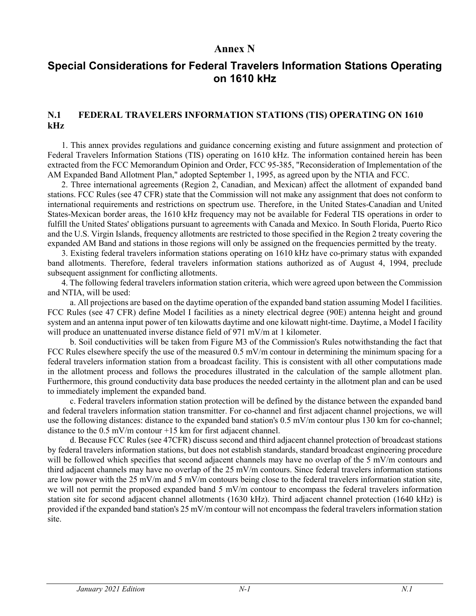## **Annex N**

## **Special Considerations for Federal Travelers Information Stations Operating on 1610 kHz**

## **N.1 FEDERAL TRAVELERS INFORMATION STATIONS (TIS) OPERATING ON 1610 kHz**

1. This annex provides regulations and guidance concerning existing and future assignment and protection of Federal Travelers Information Stations (TIS) operating on 1610 kHz. The information contained herein has been extracted from the FCC Memorandum Opinion and Order, FCC 95-385, "Reconsideration of Implementation of the AM Expanded Band Allotment Plan," adopted September 1, 1995, as agreed upon by the NTIA and FCC.

2. Three international agreements (Region 2, Canadian, and Mexican) affect the allotment of expanded band stations. FCC Rules (see 47 CFR) state that the Commission will not make any assignment that does not conform to international requirements and restrictions on spectrum use. Therefore, in the United States-Canadian and United States-Mexican border areas, the 1610 kHz frequency may not be available for Federal TIS operations in order to fulfill the United States' obligations pursuant to agreements with Canada and Mexico. In South Florida, Puerto Rico and the U.S. Virgin Islands, frequency allotments are restricted to those specified in the Region 2 treaty covering the expanded AM Band and stations in those regions will only be assigned on the frequencies permitted by the treaty.

3. Existing federal travelers information stations operating on 1610 kHz have co-primary status with expanded band allotments. Therefore, federal travelers information stations authorized as of August 4, 1994, preclude subsequent assignment for conflicting allotments.

4. The following federal travelers information station criteria, which were agreed upon between the Commission and NTIA, will be used:

a. All projections are based on the daytime operation of the expanded band station assuming Model I facilities. FCC Rules (see 47 CFR) define Model I facilities as a ninety electrical degree (90E) antenna height and ground system and an antenna input power of ten kilowatts daytime and one kilowatt night-time. Daytime, a Model I facility will produce an unattenuated inverse distance field of 971 mV/m at 1 kilometer.

b. Soil conductivities will be taken from Figure M3 of the Commission's Rules notwithstanding the fact that FCC Rules elsewhere specify the use of the measured 0.5 mV/m contour in determining the minimum spacing for a federal travelers information station from a broadcast facility. This is consistent with all other computations made in the allotment process and follows the procedures illustrated in the calculation of the sample allotment plan. Furthermore, this ground conductivity data base produces the needed certainty in the allotment plan and can be used to immediately implement the expanded band.

c. Federal travelers information station protection will be defined by the distance between the expanded band and federal travelers information station transmitter. For co-channel and first adjacent channel projections, we will use the following distances: distance to the expanded band station's 0.5 mV/m contour plus 130 km for co-channel; distance to the 0.5 mV/m contour +15 km for first adjacent channel.

d. Because FCC Rules (see 47CFR) discuss second and third adjacent channel protection of broadcast stations by federal travelers information stations, but does not establish standards, standard broadcast engineering procedure will be followed which specifies that second adjacent channels may have no overlap of the 5 mV/m contours and third adjacent channels may have no overlap of the 25 mV/m contours. Since federal travelers information stations are low power with the 25 mV/m and 5 mV/m contours being close to the federal travelers information station site, we will not permit the proposed expanded band 5 mV/m contour to encompass the federal travelers information station site for second adjacent channel allotments (1630 kHz). Third adjacent channel protection (1640 kHz) is provided if the expanded band station's 25 mV/m contour will not encompass the federal travelers information station site.